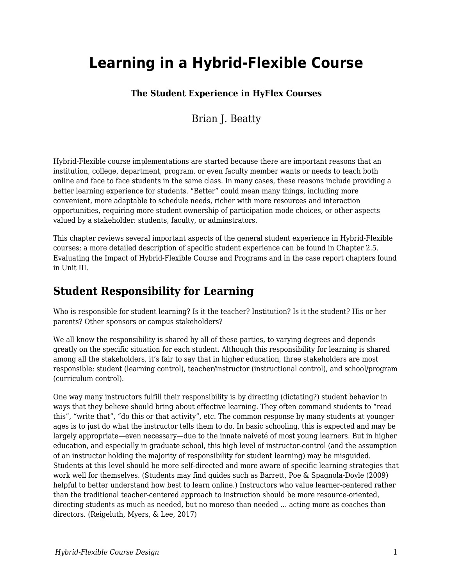# **Learning in a Hybrid-Flexible Course**

## **The Student Experience in HyFlex Courses**

Brian J. Beatty

Hybrid-Flexible course implementations are started because there are important reasons that an institution, college, department, program, or even faculty member wants or needs to teach both online and face to face students in the same class. In many cases, these reasons include providing a better learning experience for students. "Better" could mean many things, including more convenient, more adaptable to schedule needs, richer with more resources and interaction opportunities, requiring more student ownership of participation mode choices, or other aspects valued by a stakeholder: students, faculty, or adminstrators.

This chapter reviews several important aspects of the general student experience in Hybrid-Flexible courses; a more detailed description of specific student experience can be found in Chapter 2.5. Evaluating the Impact of Hybrid-Flexible Course and Programs and in the case report chapters found in Unit III.

## **Student Responsibility for Learning**

Who is responsible for student learning? Is it the teacher? Institution? Is it the student? His or her parents? Other sponsors or campus stakeholders?

We all know the responsibility is shared by all of these parties, to varying degrees and depends greatly on the specific situation for each student. Although this responsibility for learning is shared among all the stakeholders, it's fair to say that in higher education, three stakeholders are most responsible: student (learning control), teacher/instructor (instructional control), and school/program (curriculum control).

One way many instructors fulfill their responsibility is by directing (dictating?) student behavior in ways that they believe should bring about effective learning. They often command students to "read this", "write that", "do this or that activity", etc. The common response by many students at younger ages is to just do what the instructor tells them to do. In basic schooling, this is expected and may be largely appropriate—even necessary—due to the innate naiveté of most young learners. But in higher education, and especially in graduate school, this high level of instructor-control (and the assumption of an instructor holding the majority of responsibility for student learning) may be misguided. Students at this level should be more self-directed and more aware of specific learning strategies that work well for themselves. (Students may find guides such as Barrett, Poe & Spagnola-Doyle (2009) helpful to better understand how best to learn online.) Instructors who value learner-centered rather than the traditional teacher-centered approach to instruction should be more resource-oriented, directing students as much as needed, but no moreso than needed … acting more as coaches than directors. (Reigeluth, Myers, & Lee, 2017)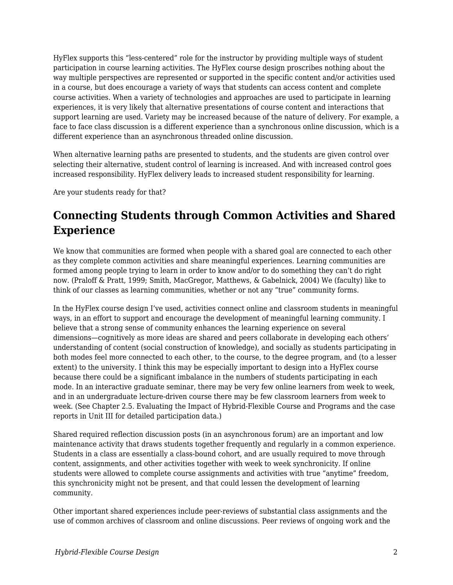HyFlex supports this "less-centered" role for the instructor by providing multiple ways of student participation in course learning activities. The HyFlex course design proscribes nothing about the way multiple perspectives are represented or supported in the specific content and/or activities used in a course, but does encourage a variety of ways that students can access content and complete course activities. When a variety of technologies and approaches are used to participate in learning experiences, it is very likely that alternative presentations of course content and interactions that support learning are used. Variety may be increased because of the nature of delivery. For example, a face to face class discussion is a different experience than a synchronous online discussion, which is a different experience than an asynchronous threaded online discussion.

When alternative learning paths are presented to students, and the students are given control over selecting their alternative, student control of learning is increased. And with increased control goes increased responsibility. HyFlex delivery leads to increased student responsibility for learning.

Are your students ready for that?

## **Connecting Students through Common Activities and Shared Experience**

We know that communities are formed when people with a shared goal are connected to each other as they complete common activities and share meaningful experiences. Learning communities are formed among people trying to learn in order to know and/or to do something they can't do right now. (Praloff & Pratt, 1999; Smith, MacGregor, Matthews, & Gabelnick, 2004) We (faculty) like to think of our classes as learning communities, whether or not any "true" community forms.

In the HyFlex course design I've used, activities connect online and classroom students in meaningful ways, in an effort to support and encourage the development of meaningful learning community. I believe that a strong sense of community enhances the learning experience on several dimensions—cognitively as more ideas are shared and peers collaborate in developing each others' understanding of content (social construction of knowledge), and socially as students participating in both modes feel more connected to each other, to the course, to the degree program, and (to a lesser extent) to the university. I think this may be especially important to design into a HyFlex course because there could be a significant imbalance in the numbers of students participating in each mode. In an interactive graduate seminar, there may be very few online learners from week to week, and in an undergraduate lecture-driven course there may be few classroom learners from week to week. (See Chapter 2.5. Evaluating the Impact of Hybrid-Flexible Course and Programs and the case reports in Unit III for detailed participation data.)

Shared required reflection discussion posts (in an asynchronous forum) are an important and low maintenance activity that draws students together frequently and regularly in a common experience. Students in a class are essentially a class-bound cohort, and are usually required to move through content, assignments, and other activities together with week to week synchronicity. If online students were allowed to complete course assignments and activities with true "anytime" freedom, this synchronicity might not be present, and that could lessen the development of learning community.

Other important shared experiences include peer-reviews of substantial class assignments and the use of common archives of classroom and online discussions. Peer reviews of ongoing work and the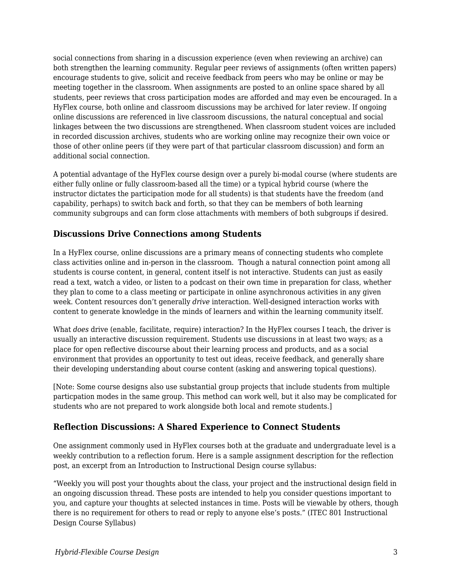social connections from sharing in a discussion experience (even when reviewing an archive) can both strengthen the learning community. Regular peer reviews of assignments (often written papers) encourage students to give, solicit and receive feedback from peers who may be online or may be meeting together in the classroom. When assignments are posted to an online space shared by all students, peer reviews that cross participation modes are afforded and may even be encouraged. In a HyFlex course, both online and classroom discussions may be archived for later review. If ongoing online discussions are referenced in live classroom discussions, the natural conceptual and social linkages between the two discussions are strengthened. When classroom student voices are included in recorded discussion archives, students who are working online may recognize their own voice or those of other online peers (if they were part of that particular classroom discussion) and form an additional social connection.

A potential advantage of the HyFlex course design over a purely bi-modal course (where students are either fully online or fully classroom-based all the time) or a typical hybrid course (where the instructor dictates the participation mode for all students) is that students have the freedom (and capability, perhaps) to switch back and forth, so that they can be members of both learning community subgroups and can form close attachments with members of both subgroups if desired.

### **Discussions Drive Connections among Students**

In a HyFlex course, online discussions are a primary means of connecting students who complete class activities online and in-person in the classroom. Though a natural connection point among all students is course content, in general, content itself is not interactive. Students can just as easily read a text, watch a video, or listen to a podcast on their own time in preparation for class, whether they plan to come to a class meeting or participate in online asynchronous activities in any given week. Content resources don't generally *drive* interaction. Well-designed interaction works with content to generate knowledge in the minds of learners and within the learning community itself.

What *does* drive (enable, facilitate, require) interaction? In the HyFlex courses I teach, the driver is usually an interactive discussion requirement. Students use discussions in at least two ways; as a place for open reflective discourse about their learning process and products, and as a social environment that provides an opportunity to test out ideas, receive feedback, and generally share their developing understanding about course content (asking and answering topical questions).

[Note: Some course designs also use substantial group projects that include students from multiple particpation modes in the same group. This method can work well, but it also may be complicated for students who are not prepared to work alongside both local and remote students.]

## **Reflection Discussions: A Shared Experience to Connect Students**

One assignment commonly used in HyFlex courses both at the graduate and undergraduate level is a weekly contribution to a reflection forum. Here is a sample assignment description for the reflection post, an excerpt from an Introduction to Instructional Design course syllabus:

"Weekly you will post your thoughts about the class, your project and the instructional design field in an ongoing discussion thread. These posts are intended to help you consider questions important to you, and capture your thoughts at selected instances in time. Posts will be viewable by others, though there is no requirement for others to read or reply to anyone else's posts." (ITEC 801 Instructional Design Course Syllabus)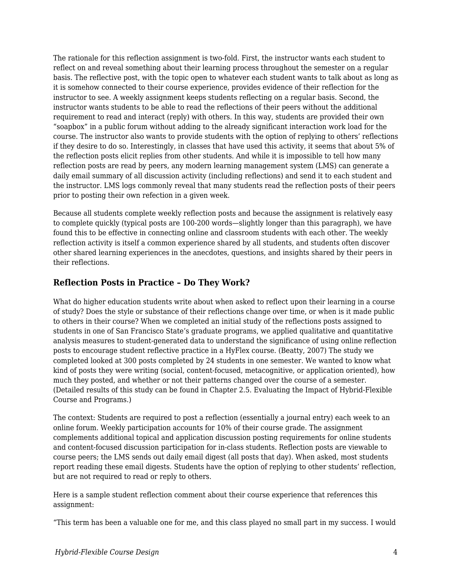The rationale for this reflection assignment is two-fold. First, the instructor wants each student to reflect on and reveal something about their learning process throughout the semester on a regular basis. The reflective post, with the topic open to whatever each student wants to talk about as long as it is somehow connected to their course experience, provides evidence of their reflection for the instructor to see. A weekly assignment keeps students reflecting on a regular basis. Second, the instructor wants students to be able to read the reflections of their peers without the additional requirement to read and interact (reply) with others. In this way, students are provided their own "soapbox" in a public forum without adding to the already significant interaction work load for the course. The instructor also wants to provide students with the option of replying to others' reflections if they desire to do so. Interestingly, in classes that have used this activity, it seems that about 5% of the reflection posts elicit replies from other students. And while it is impossible to tell how many reflection posts are read by peers, any modern learning management system (LMS) can generate a daily email summary of all discussion activity (including reflections) and send it to each student and the instructor. LMS logs commonly reveal that many students read the reflection posts of their peers prior to posting their own refection in a given week.

Because all students complete weekly reflection posts and because the assignment is relatively easy to complete quickly (typical posts are 100-200 words—slightly longer than this paragraph), we have found this to be effective in connecting online and classroom students with each other. The weekly reflection activity is itself a common experience shared by all students, and students often discover other shared learning experiences in the anecdotes, questions, and insights shared by their peers in their reflections.

## **Reflection Posts in Practice – Do They Work?**

What do higher education students write about when asked to reflect upon their learning in a course of study? Does the style or substance of their reflections change over time, or when is it made public to others in their course? When we completed an initial study of the reflections posts assigned to students in one of San Francisco State's graduate programs, we applied qualitative and quantitative analysis measures to student-generated data to understand the significance of using online reflection posts to encourage student reflective practice in a HyFlex course. (Beatty, 2007) The study we completed looked at 300 posts completed by 24 students in one semester. We wanted to know what kind of posts they were writing (social, content-focused, metacognitive, or application oriented), how much they posted, and whether or not their patterns changed over the course of a semester. (Detailed results of this study can be found in Chapter 2.5. Evaluating the Impact of Hybrid-Flexible Course and Programs.)

The context: Students are required to post a reflection (essentially a journal entry) each week to an online forum. Weekly participation accounts for 10% of their course grade. The assignment complements additional topical and application discussion posting requirements for online students and content-focused discussion participation for in-class students. Reflection posts are viewable to course peers; the LMS sends out daily email digest (all posts that day). When asked, most students report reading these email digests. Students have the option of replying to other students' reflection, but are not required to read or reply to others.

Here is a sample student reflection comment about their course experience that references this assignment:

"This term has been a valuable one for me, and this class played no small part in my success. I would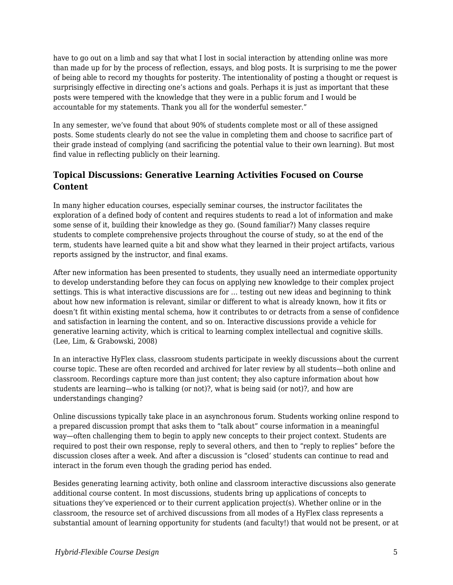have to go out on a limb and say that what I lost in social interaction by attending online was more than made up for by the process of reflection, essays, and blog posts. It is surprising to me the power of being able to record my thoughts for posterity. The intentionality of posting a thought or request is surprisingly effective in directing one's actions and goals. Perhaps it is just as important that these posts were tempered with the knowledge that they were in a public forum and I would be accountable for my statements. Thank you all for the wonderful semester."

In any semester, we've found that about 90% of students complete most or all of these assigned posts. Some students clearly do not see the value in completing them and choose to sacrifice part of their grade instead of complying (and sacrificing the potential value to their own learning). But most find value in reflecting publicly on their learning.

## **Topical Discussions: Generative Learning Activities Focused on Course Content**

In many higher education courses, especially seminar courses, the instructor facilitates the exploration of a defined body of content and requires students to read a lot of information and make some sense of it, building their knowledge as they go. (Sound familiar?) Many classes require students to complete comprehensive projects throughout the course of study, so at the end of the term, students have learned quite a bit and show what they learned in their project artifacts, various reports assigned by the instructor, and final exams.

After new information has been presented to students, they usually need an intermediate opportunity to develop understanding before they can focus on applying new knowledge to their complex project settings. This is what interactive discussions are for … testing out new ideas and beginning to think about how new information is relevant, similar or different to what is already known, how it fits or doesn't fit within existing mental schema, how it contributes to or detracts from a sense of confidence and satisfaction in learning the content, and so on. Interactive discussions provide a vehicle for generative learning activity, which is critical to learning complex intellectual and cognitive skills. (Lee, Lim, & Grabowski, 2008)

In an interactive HyFlex class, classroom students participate in weekly discussions about the current course topic. These are often recorded and archived for later review by all students—both online and classroom. Recordings capture more than just content; they also capture information about how students are learning—who is talking (or not)?, what is being said (or not)?, and how are understandings changing?

Online discussions typically take place in an asynchronous forum. Students working online respond to a prepared discussion prompt that asks them to "talk about" course information in a meaningful way—often challenging them to begin to apply new concepts to their project context. Students are required to post their own response, reply to several others, and then to "reply to replies" before the discussion closes after a week. And after a discussion is "closed' students can continue to read and interact in the forum even though the grading period has ended.

Besides generating learning activity, both online and classroom interactive discussions also generate additional course content. In most discussions, students bring up applications of concepts to situations they've experienced or to their current application project(s). Whether online or in the classroom, the resource set of archived discussions from all modes of a HyFlex class represents a substantial amount of learning opportunity for students (and faculty!) that would not be present, or at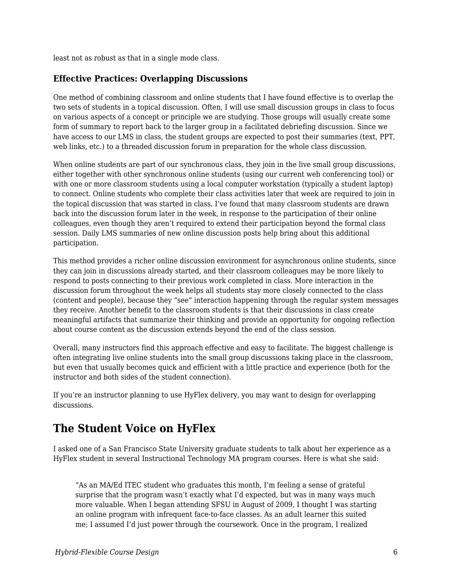least not as robust as that in a single mode class.

### **Effective Practices: Overlapping Discussions**

One method of combining classroom and online students that I have found effective is to overlap the two sets of students in a topical discussion. Often, I will use small discussion groups in class to focus on various aspects of a concept or principle we are studying. Those groups will usually create some form of summary to report back to the larger group in a facilitated debriefing discussion. Since we have access to our LMS in class, the student groups are expected to post their summaries (text, PPT, web links, etc.) to a threaded discussion forum in preparation for the whole class discussion.

When online students are part of our synchronous class, they join in the live small group discussions, either together with other synchronous online students (using our current web conferencing tool) or with one or more classroom students using a local computer workstation (typically a student laptop) to connect. Online students who complete their class activities later that week are required to join in the topical discussion that was started in class. I've found that many classroom students are drawn back into the discussion forum later in the week, in response to the participation of their online colleagues, even though they aren't required to extend their participation beyond the formal class session. Daily LMS summaries of new online discussion posts help bring about this additional participation.

This method provides a richer online discussion environment for asynchronous online students, since they can join in discussions already started, and their classroom colleagues may be more likely to respond to posts connecting to their previous work completed in class. More interaction in the discussion forum throughout the week helps all students stay more closely connected to the class (content and people), because they "see" interaction happening through the regular system messages they receive. Another benefit to the classroom students is that their discussions in class create meaningful artifacts that summarize their thinking and provide an opportunity for ongoing reflection about course content as the discussion extends beyond the end of the class session.

Overall, many instructors find this approach effective and easy to facilitate. The biggest challenge is often integrating live online students into the small group discussions taking place in the classroom, but even that usually becomes quick and efficient with a little practice and experience (both for the instructor and both sides of the student connection).

If you're an instructor planning to use HyFlex delivery, you may want to design for overlapping discussions.

## **The Student Voice on HyFlex**

I asked one of a San Francisco State University graduate students to talk about her experience as a HyFlex student in several Instructional Technology MA program courses. Here is what she said:

"As an MA/Ed ITEC student who graduates this month, I'm feeling a sense of grateful surprise that the program wasn't exactly what I'd expected, but was in many ways much more valuable. When I began attending SFSU in August of 2009, I thought I was starting an online program with infrequent face-to-face classes. As an adult learner this suited me; I assumed I'd just power through the coursework. Once in the program, I realized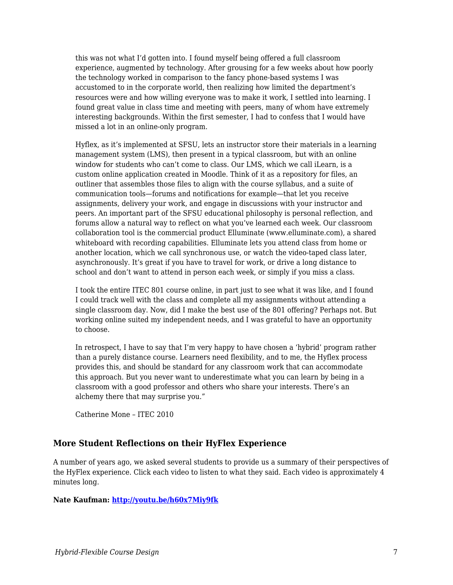this was not what I'd gotten into. I found myself being offered a full classroom experience, augmented by technology. After grousing for a few weeks about how poorly the technology worked in comparison to the fancy phone-based systems I was accustomed to in the corporate world, then realizing how limited the department's resources were and how willing everyone was to make it work, I settled into learning. I found great value in class time and meeting with peers, many of whom have extremely interesting backgrounds. Within the first semester, I had to confess that I would have missed a lot in an online-only program.

Hyflex, as it's implemented at SFSU, lets an instructor store their materials in a learning management system (LMS), then present in a typical classroom, but with an online window for students who can't come to class. Our LMS, which we call iLearn, is a custom online application created in Moodle. Think of it as a repository for files, an outliner that assembles those files to align with the course syllabus, and a suite of communication tools—forums and notifications for example—that let you receive assignments, delivery your work, and engage in discussions with your instructor and peers. An important part of the SFSU educational philosophy is personal reflection, and forums allow a natural way to reflect on what you've learned each week. Our classroom collaboration tool is the commercial product Elluminate (www.elluminate.com), a shared whiteboard with recording capabilities. Elluminate lets you attend class from home or another location, which we call synchronous use, or watch the video-taped class later, asynchronously. It's great if you have to travel for work, or drive a long distance to school and don't want to attend in person each week, or simply if you miss a class.

I took the entire ITEC 801 course online, in part just to see what it was like, and I found I could track well with the class and complete all my assignments without attending a single classroom day. Now, did I make the best use of the 801 offering? Perhaps not. But working online suited my independent needs, and I was grateful to have an opportunity to choose.

In retrospect, I have to say that I'm very happy to have chosen a 'hybrid' program rather than a purely distance course. Learners need flexibility, and to me, the Hyflex process provides this, and should be standard for any classroom work that can accommodate this approach. But you never want to underestimate what you can learn by being in a classroom with a good professor and others who share your interests. There's an alchemy there that may surprise you."

Catherine Mone – ITEC 2010

### **More Student Reflections on their HyFlex Experience**

A number of years ago, we asked several students to provide us a summary of their perspectives of the HyFlex experience. Click each video to listen to what they said. Each video is approximately 4 minutes long.

#### **Nate Kaufman:<http://youtu.be/h60x7Miy9fk>**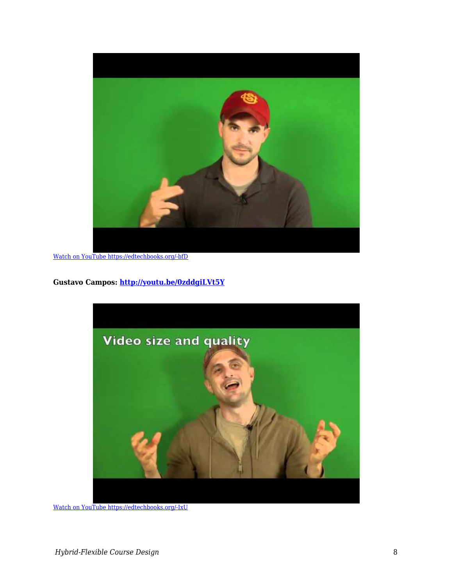

[Watch on YouTube https://edtechbooks.org/-bfD](https://www.youtube.com/embed/h60x7Miy9fk?autoplay=1&rel=0&showinfo=0&modestbranding=1)

**Gustavo Campos: <http://youtu.be/0zddgiLVt5Y>**



[Watch on YouTube https://edtechbooks.org/-IxU](https://www.youtube.com/embed/0zddgiLVt5Y?autoplay=1&rel=0&showinfo=0&modestbranding=1)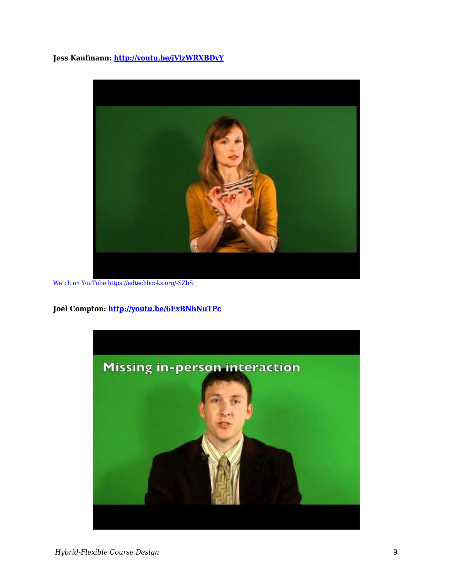**Jess Kaufmann:<http://youtu.be/jVlzWRXBDyY>**



[Watch on YouTube https://edtechbooks.org/-SZbS](https://www.youtube.com/embed/jVlzWRXBDyY?autoplay=1&rel=0&showinfo=0&modestbranding=1)

#### **Joel Compton: <http://youtu.be/6ExBNhNuTPc>**

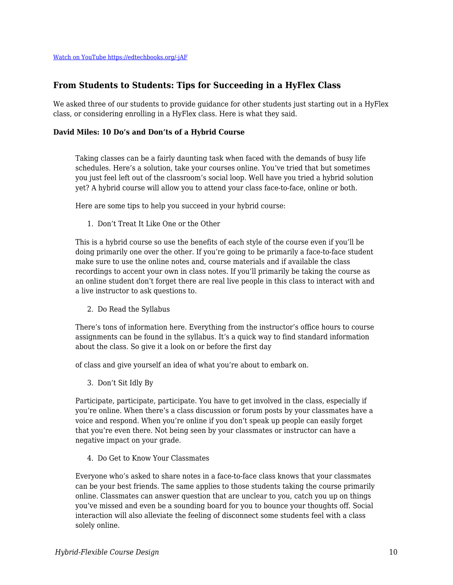### **From Students to Students: Tips for Succeeding in a HyFlex Class**

We asked three of our students to provide guidance for other students just starting out in a HyFlex class, or considering enrolling in a HyFlex class. Here is what they said.

#### **David Miles: 10 Do's and Don'ts of a Hybrid Course**

Taking classes can be a fairly daunting task when faced with the demands of busy life schedules. Here's a solution, take your courses online. You've tried that but sometimes you just feel left out of the classroom's social loop. Well have you tried a hybrid solution yet? A hybrid course will allow you to attend your class face-to-face, online or both.

Here are some tips to help you succeed in your hybrid course:

1. Don't Treat It Like One or the Other

This is a hybrid course so use the benefits of each style of the course even if you'll be doing primarily one over the other. If you're going to be primarily a face-to-face student make sure to use the online notes and, course materials and if available the class recordings to accent your own in class notes. If you'll primarily be taking the course as an online student don't forget there are real live people in this class to interact with and a live instructor to ask questions to.

2. Do Read the Syllabus

There's tons of information here. Everything from the instructor's office hours to course assignments can be found in the syllabus. It's a quick way to find standard information about the class. So give it a look on or before the first day

of class and give yourself an idea of what you're about to embark on.

3. Don't Sit Idly By

Participate, participate, participate. You have to get involved in the class, especially if you're online. When there's a class discussion or forum posts by your classmates have a voice and respond. When you're online if you don't speak up people can easily forget that you're even there. Not being seen by your classmates or instructor can have a negative impact on your grade.

4. Do Get to Know Your Classmates

Everyone who's asked to share notes in a face-to-face class knows that your classmates can be your best friends. The same applies to those students taking the course primarily online. Classmates can answer question that are unclear to you, catch you up on things you've missed and even be a sounding board for you to bounce your thoughts off. Social interaction will also alleviate the feeling of disconnect some students feel with a class solely online.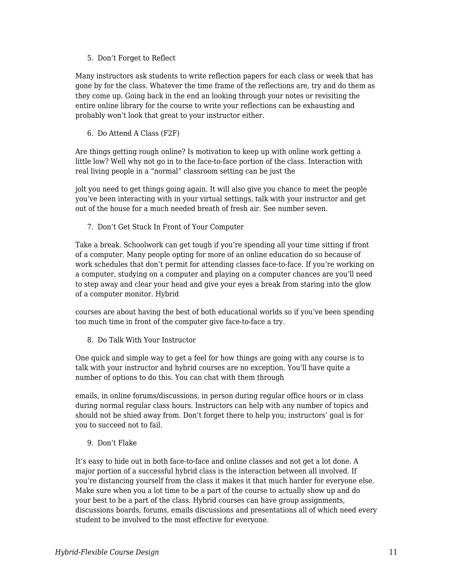#### 5. Don't Forget to Reflect

Many instructors ask students to write reflection papers for each class or week that has gone by for the class. Whatever the time frame of the reflections are, try and do them as they come up. Going back in the end an looking through your notes or revisiting the entire online library for the course to write your reflections can be exhausting and probably won't look that great to your instructor either.

6. Do Attend A Class (F2F)

Are things getting rough online? Is motivation to keep up with online work getting a little low? Well why not go in to the face-to-face portion of the class. Interaction with real living people in a "normal" classroom setting can be just the

jolt you need to get things going again. It will also give you chance to meet the people you've been interacting with in your virtual settings, talk with your instructor and get out of the house for a much needed breath of fresh air. See number seven.

7. Don't Get Stuck In Front of Your Computer

Take a break. Schoolwork can get tough if you're spending all your time sitting if front of a computer. Many people opting for more of an online education do so because of work schedules that don't permit for attending classes face-to-face. If you're working on a computer, studying on a computer and playing on a computer chances are you'll need to step away and clear your head and give your eyes a break from staring into the glow of a computer monitor. Hybrid

courses are about having the best of both educational worlds so if you've been spending too much time in front of the computer give face-to-face a try.

8. Do Talk With Your Instructor

One quick and simple way to get a feel for how things are going with any course is to talk with your instructor and hybrid courses are no exception. You'll have quite a number of options to do this. You can chat with them through

emails, in online forums/discussions, in person during regular office hours or in class during normal regular class hours. Instructors can help with any number of topics and should not be shied away from. Don't forget there to help you; instructors' goal is for you to succeed not to fail.

9. Don't Flake

It's easy to hide out in both face-to-face and online classes and not get a lot done. A major portion of a successful hybrid class is the interaction between all involved. If you're distancing yourself from the class it makes it that much harder for everyone else. Make sure when you a lot time to be a part of the course to actually show up and do your best to be a part of the class. Hybrid courses can have group assignments, discussions boards, forums, emails discussions and presentations all of which need every student to be involved to the most effective for everyone.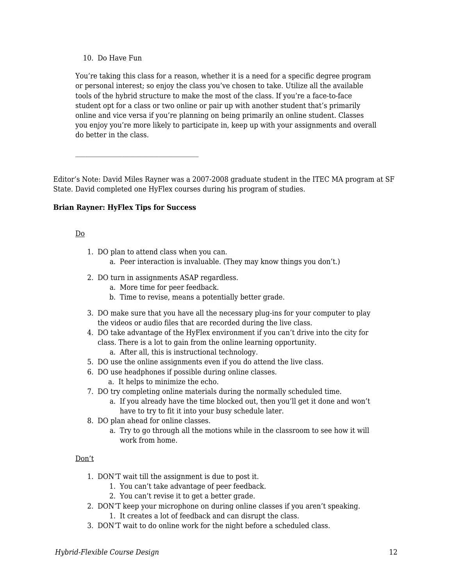#### 10. Do Have Fun

You're taking this class for a reason, whether it is a need for a specific degree program or personal interest; so enjoy the class you've chosen to take. Utilize all the available tools of the hybrid structure to make the most of the class. If you're a face-to-face student opt for a class or two online or pair up with another student that's primarily online and vice versa if you're planning on being primarily an online student. Classes you enjoy you're more likely to participate in, keep up with your assignments and overall do better in the class.

Editor's Note: David Miles Rayner was a 2007-2008 graduate student in the ITEC MA program at SF State. David completed one HyFlex courses during his program of studies.

#### **Brian Rayner: HyFlex Tips for Success**

 $\mathcal{L}_\text{max}$ 

#### Do

- 1. DO plan to attend class when you can.
	- a. Peer interaction is invaluable. (They may know things you don't.)
- 2. DO turn in assignments ASAP regardless.
	- a. More time for peer feedback.
	- b. Time to revise, means a potentially better grade.
- 3. DO make sure that you have all the necessary plug-ins for your computer to play the videos or audio files that are recorded during the live class.
- 4. DO take advantage of the HyFlex environment if you can't drive into the city for class. There is a lot to gain from the online learning opportunity. a. After all, this is instructional technology.
- 5. DO use the online assignments even if you do attend the live class.
- 6. DO use headphones if possible during online classes.
	- a. It helps to minimize the echo.
- 7. DO try completing online materials during the normally scheduled time.
	- a. If you already have the time blocked out, then you'll get it done and won't have to try to fit it into your busy schedule later.
- 8. DO plan ahead for online classes.
	- a. Try to go through all the motions while in the classroom to see how it will work from home.

#### Don't

- 1. DON'T wait till the assignment is due to post it.
	- 1. You can't take advantage of peer feedback.
	- 2. You can't revise it to get a better grade.
- 2. DON'T keep your microphone on during online classes if you aren't speaking.
	- 1. It creates a lot of feedback and can disrupt the class.
- 3. DON'T wait to do online work for the night before a scheduled class.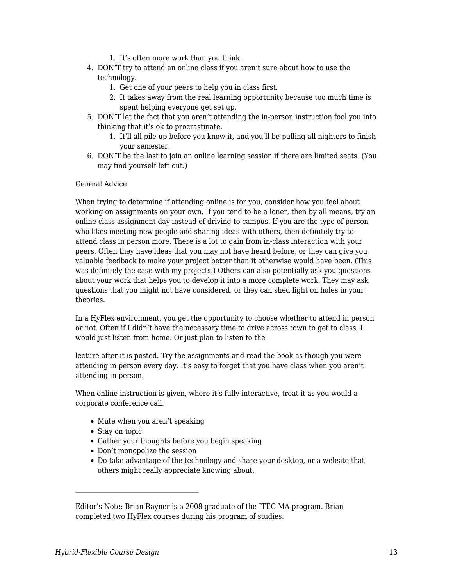- 1. It's often more work than you think.
- 4. DON'T try to attend an online class if you aren't sure about how to use the technology.
	- 1. Get one of your peers to help you in class first.
	- 2. It takes away from the real learning opportunity because too much time is spent helping everyone get set up.
- 5. DON'T let the fact that you aren't attending the in-person instruction fool you into thinking that it's ok to procrastinate.
	- 1. It'll all pile up before you know it, and you'll be pulling all-nighters to finish your semester.
- 6. DON'T be the last to join an online learning session if there are limited seats. (You may find yourself left out.)

#### General Advice

When trying to determine if attending online is for you, consider how you feel about working on assignments on your own. If you tend to be a loner, then by all means, try an online class assignment day instead of driving to campus. If you are the type of person who likes meeting new people and sharing ideas with others, then definitely try to attend class in person more. There is a lot to gain from in-class interaction with your peers. Often they have ideas that you may not have heard before, or they can give you valuable feedback to make your project better than it otherwise would have been. (This was definitely the case with my projects.) Others can also potentially ask you questions about your work that helps you to develop it into a more complete work. They may ask questions that you might not have considered, or they can shed light on holes in your theories.

In a HyFlex environment, you get the opportunity to choose whether to attend in person or not. Often if I didn't have the necessary time to drive across town to get to class, I would just listen from home. Or just plan to listen to the

lecture after it is posted. Try the assignments and read the book as though you were attending in person every day. It's easy to forget that you have class when you aren't attending in-person.

When online instruction is given, where it's fully interactive, treat it as you would a corporate conference call.

- Mute when you aren't speaking
- Stay on topic
- Gather your thoughts before you begin speaking
- Don't monopolize the session

 $\mathcal{L}_\text{max}$ 

Do take advantage of the technology and share your desktop, or a website that others might really appreciate knowing about.

Editor's Note: Brian Rayner is a 2008 graduate of the ITEC MA program. Brian completed two HyFlex courses during his program of studies.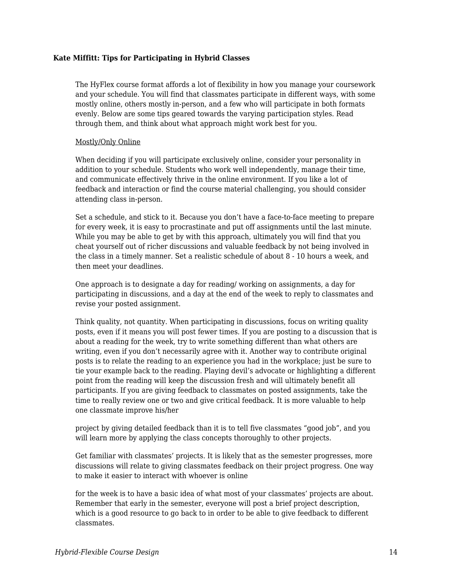#### **Kate Miffitt: Tips for Participating in Hybrid Classes**

The HyFlex course format affords a lot of flexibility in how you manage your coursework and your schedule. You will find that classmates participate in different ways, with some mostly online, others mostly in-person, and a few who will participate in both formats evenly. Below are some tips geared towards the varying participation styles. Read through them, and think about what approach might work best for you.

#### Mostly/Only Online

When deciding if you will participate exclusively online, consider your personality in addition to your schedule. Students who work well independently, manage their time, and communicate effectively thrive in the online environment. If you like a lot of feedback and interaction or find the course material challenging, you should consider attending class in-person.

Set a schedule, and stick to it. Because you don't have a face-to-face meeting to prepare for every week, it is easy to procrastinate and put off assignments until the last minute. While you may be able to get by with this approach, ultimately you will find that you cheat yourself out of richer discussions and valuable feedback by not being involved in the class in a timely manner. Set a realistic schedule of about 8 - 10 hours a week, and then meet your deadlines.

One approach is to designate a day for reading/ working on assignments, a day for participating in discussions, and a day at the end of the week to reply to classmates and revise your posted assignment.

Think quality, not quantity. When participating in discussions, focus on writing quality posts, even if it means you will post fewer times. If you are posting to a discussion that is about a reading for the week, try to write something different than what others are writing, even if you don't necessarily agree with it. Another way to contribute original posts is to relate the reading to an experience you had in the workplace; just be sure to tie your example back to the reading. Playing devil's advocate or highlighting a different point from the reading will keep the discussion fresh and will ultimately benefit all participants. If you are giving feedback to classmates on posted assignments, take the time to really review one or two and give critical feedback. It is more valuable to help one classmate improve his/her

project by giving detailed feedback than it is to tell five classmates "good job", and you will learn more by applying the class concepts thoroughly to other projects.

Get familiar with classmates' projects. It is likely that as the semester progresses, more discussions will relate to giving classmates feedback on their project progress. One way to make it easier to interact with whoever is online

for the week is to have a basic idea of what most of your classmates' projects are about. Remember that early in the semester, everyone will post a brief project description, which is a good resource to go back to in order to be able to give feedback to different classmates.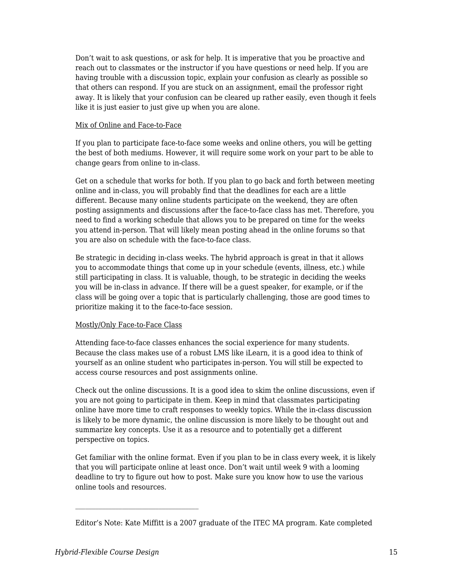Don't wait to ask questions, or ask for help. It is imperative that you be proactive and reach out to classmates or the instructor if you have questions or need help. If you are having trouble with a discussion topic, explain your confusion as clearly as possible so that others can respond. If you are stuck on an assignment, email the professor right away. It is likely that your confusion can be cleared up rather easily, even though it feels like it is just easier to just give up when you are alone.

#### Mix of Online and Face-to-Face

If you plan to participate face-to-face some weeks and online others, you will be getting the best of both mediums. However, it will require some work on your part to be able to change gears from online to in-class.

Get on a schedule that works for both. If you plan to go back and forth between meeting online and in-class, you will probably find that the deadlines for each are a little different. Because many online students participate on the weekend, they are often posting assignments and discussions after the face-to-face class has met. Therefore, you need to find a working schedule that allows you to be prepared on time for the weeks you attend in-person. That will likely mean posting ahead in the online forums so that you are also on schedule with the face-to-face class.

Be strategic in deciding in-class weeks. The hybrid approach is great in that it allows you to accommodate things that come up in your schedule (events, illness, etc.) while still participating in class. It is valuable, though, to be strategic in deciding the weeks you will be in-class in advance. If there will be a guest speaker, for example, or if the class will be going over a topic that is particularly challenging, those are good times to prioritize making it to the face-to-face session.

#### Mostly/Only Face-to-Face Class

Attending face-to-face classes enhances the social experience for many students. Because the class makes use of a robust LMS like iLearn, it is a good idea to think of yourself as an online student who participates in-person. You will still be expected to access course resources and post assignments online.

Check out the online discussions. It is a good idea to skim the online discussions, even if you are not going to participate in them. Keep in mind that classmates participating online have more time to craft responses to weekly topics. While the in-class discussion is likely to be more dynamic, the online discussion is more likely to be thought out and summarize key concepts. Use it as a resource and to potentially get a different perspective on topics.

Get familiar with the online format. Even if you plan to be in class every week, it is likely that you will participate online at least once. Don't wait until week 9 with a looming deadline to try to figure out how to post. Make sure you know how to use the various online tools and resources.

 $\mathcal{L}_\text{max}$ 

Editor's Note: Kate Miffitt is a 2007 graduate of the ITEC MA program. Kate completed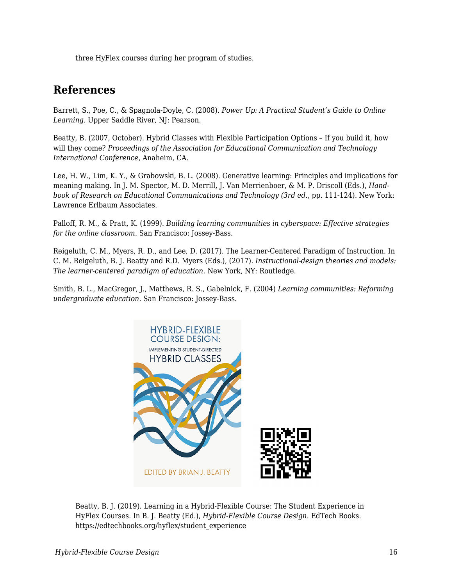three HyFlex courses during her program of studies.

## **References**

Barrett, S., Poe, C., & Spagnola-Doyle, C. (2008). *Power Up: A Practical Student's Guide to Online Learning.* Upper Saddle River, NJ: Pearson.

Beatty, B. (2007, October). Hybrid Classes with Flexible Participation Options – If you build it, how will they come? *Proceedings of the Association for Educational Communication and Technology International Conference*, Anaheim, CA.

Lee, H. W., Lim, K. Y., & Grabowski, B. L. (2008). Generative learning: Principles and implications for meaning making. In J. M. Spector, M. D. Merrill, J. Van Merrienboer, & M. P. Driscoll (Eds.), *Handbook of Research on Educational Communications and Technology (3rd ed.*, pp. 111-124). New York: Lawrence Erlbaum Associates.

Palloff, R. M., & Pratt, K. (1999). *Building learning communities in cyberspace: Effective strategies for the online classroom*. San Francisco: Jossey-Bass.

Reigeluth, C. M., Myers, R. D., and Lee, D. (2017). The Learner-Centered Paradigm of Instruction. In C. M. Reigeluth, B. J. Beatty and R.D. Myers (Eds.), (2017). *Instructional-design theories and models: The learner-centered paradigm of education.* New York, NY: Routledge.

Smith, B. L., MacGregor, J., Matthews, R. S., Gabelnick, F. (2004) *Learning communities: Reforming undergraduate education*. San Francisco: Jossey-Bass.



Beatty, B. J. (2019). Learning in a Hybrid-Flexible Course: The Student Experience in HyFlex Courses. In B. J. Beatty (Ed.), *Hybrid-Flexible Course Design*. EdTech Books. https://edtechbooks.org/hyflex/student\_experience